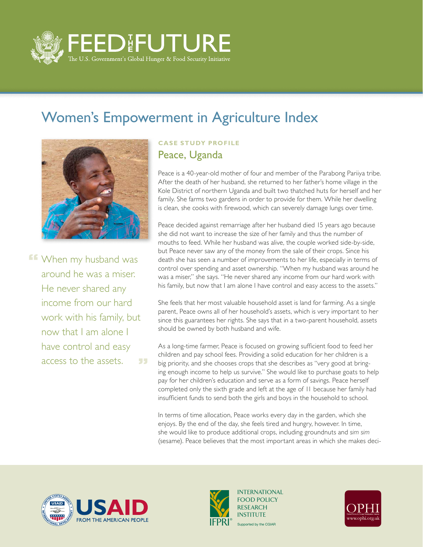

## Women's Empowerment in Agriculture Index



**FF** When my husband was around he was a miser. He never shared any income from our hard work with his family, but now that I am alone I have control and easy access to the assets. 55.

## **Case Study Profile** Peace, Uganda

Peace is a 40-year-old mother of four and member of the Parabong Pariiya tribe. After the death of her husband, she returned to her father's home village in the Kole District of northern Uganda and built two thatched huts for herself and her family. She farms two gardens in order to provide for them. While her dwelling is clean, she cooks with firewood, which can severely damage lungs over time.

Peace decided against remarriage after her husband died 15 years ago because she did not want to increase the size of her family and thus the number of mouths to feed. While her husband was alive, the couple worked side-by-side, but Peace never saw any of the money from the sale of their crops. Since his death she has seen a number of improvements to her life, especially in terms of control over spending and asset ownership. "When my husband was around he was a miser," she says. "He never shared any income from our hard work with his family, but now that I am alone I have control and easy access to the assets."

She feels that her most valuable household asset is land for farming. As a single parent, Peace owns all of her household's assets, which is very important to her since this guarantees her rights. She says that in a two-parent household, assets should be owned by both husband and wife.

As a long-time farmer, Peace is focused on growing sufficient food to feed her children and pay school fees. Providing a solid education for her children is a big priority, and she chooses crops that she describes as "very good at bringing enough income to help us survive." She would like to purchase goats to help pay for her children's education and serve as a form of savings. Peace herself completed only the sixth grade and left at the age of 11 because her family had insufficient funds to send both the girls and boys in the household to school.

In terms of time allocation, Peace works every day in the garden, which she enjoys. By the end of the day, she feels tired and hungry, however. In time, she would like to produce additional crops, including groundnuts and *sim sim* (sesame). Peace believes that the most important areas in which she makes deci-





Supported by the CGIAR INTERNATIONAL FOOD POLICY RESEARCH **INSTITUTE**